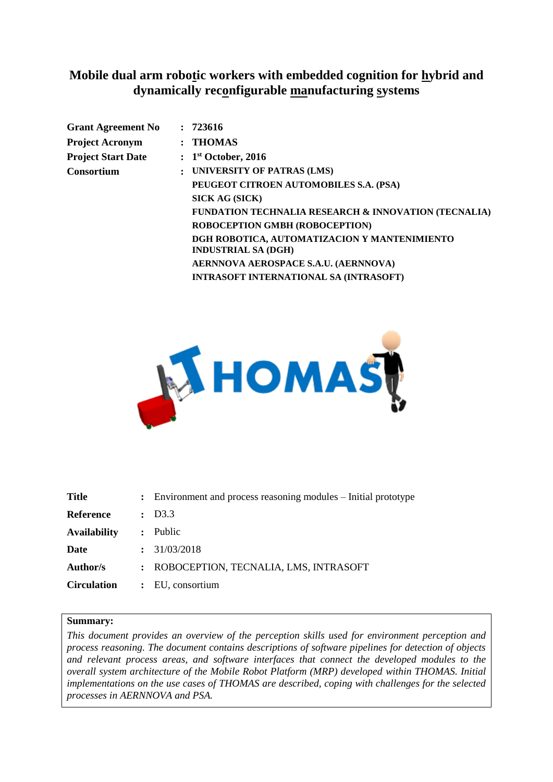## **Mobile dual arm robotic workers with embedded cognition for hybrid and dynamically reconfigurable manufacturing systems**

| 723616                                                                     |
|----------------------------------------------------------------------------|
| $:$ THOMAS                                                                 |
| : 1 <sup>st</sup> October, 2016                                            |
| UNIVERSITY OF PATRAS (LMS)                                                 |
| PEUGEOT CITROEN AUTOMOBILES S.A. (PSA)                                     |
| <b>SICK AG (SICK)</b>                                                      |
| <b>FUNDATION TECHNALIA RESEARCH &amp; INNOVATION (TECNALIA)</b>            |
| ROBOCEPTION GMBH (ROBOCEPTION)                                             |
| DGH ROBOTICA, AUTOMATIZACION Y MANTENIMIENTO<br><b>INDUSTRIAL SA (DGH)</b> |
| AERNNOVA AEROSPACE S.A.U. (AERNNOVA)                                       |
| <b>INTRASOFT INTERNATIONAL SA (INTRASOFT)</b>                              |
|                                                                            |



| <b>Title</b>        | : Environment and process reasoning modules – Initial prototype |
|---------------------|-----------------------------------------------------------------|
| Reference           | : D3.3                                                          |
| <b>Availability</b> | Public<br>$\ddot{\phantom{a}}$                                  |
| Date                | : 31/03/2018                                                    |
| Author/s            | : ROBOCEPTION, TECNALIA, LMS, INTRASOFT                         |
| <b>Circulation</b>  | : EU, consortium                                                |
|                     |                                                                 |

#### **Summary:**

*This document provides an overview of the perception skills used for environment perception and process reasoning. The document contains descriptions of software pipelines for detection of objects and relevant process areas, and software interfaces that connect the developed modules to the overall system architecture of the Mobile Robot Platform (MRP) developed within THOMAS. Initial implementations on the use cases of THOMAS are described, coping with challenges for the selected processes in AERNNOVA and PSA.*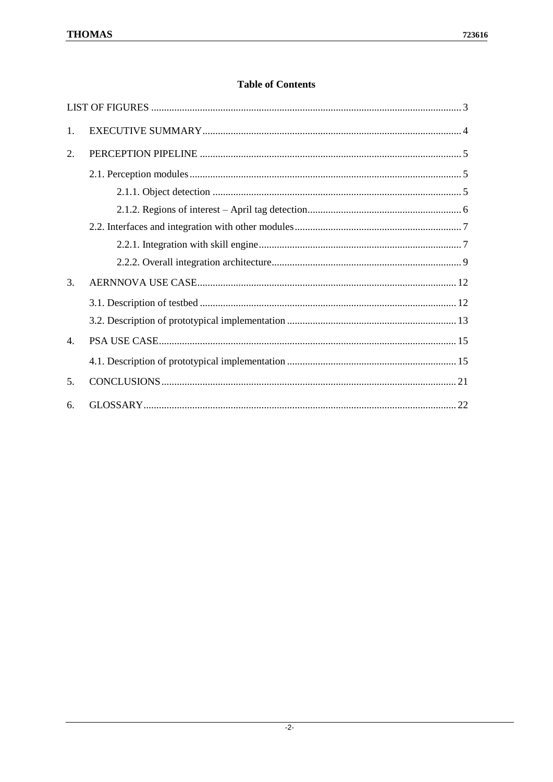#### **Table of Contents**

| $\mathbf{1}$ .   |  |
|------------------|--|
| 2.               |  |
|                  |  |
|                  |  |
|                  |  |
|                  |  |
|                  |  |
|                  |  |
| $\mathcal{E}$    |  |
|                  |  |
|                  |  |
| $\overline{4}$ . |  |
|                  |  |
| 5 <sub>1</sub>   |  |
| 6.               |  |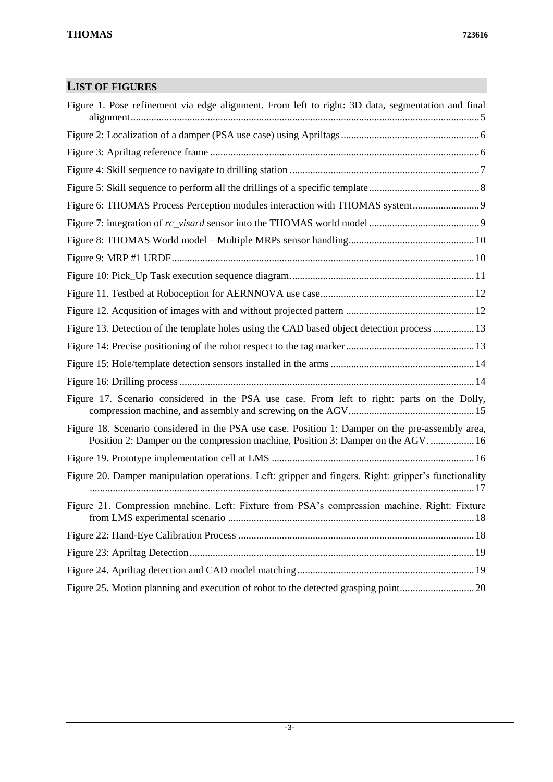# <span id="page-2-0"></span>**LIST OF FIGURES**

| Figure 1. Pose refinement via edge alignment. From left to right: 3D data, segmentation and final                                                                                     |
|---------------------------------------------------------------------------------------------------------------------------------------------------------------------------------------|
|                                                                                                                                                                                       |
|                                                                                                                                                                                       |
|                                                                                                                                                                                       |
|                                                                                                                                                                                       |
|                                                                                                                                                                                       |
|                                                                                                                                                                                       |
|                                                                                                                                                                                       |
|                                                                                                                                                                                       |
|                                                                                                                                                                                       |
|                                                                                                                                                                                       |
|                                                                                                                                                                                       |
| Figure 13. Detection of the template holes using the CAD based object detection process  13                                                                                           |
|                                                                                                                                                                                       |
|                                                                                                                                                                                       |
|                                                                                                                                                                                       |
| Figure 17. Scenario considered in the PSA use case. From left to right: parts on the Dolly,                                                                                           |
| Figure 18. Scenario considered in the PSA use case. Position 1: Damper on the pre-assembly area,<br>Position 2: Damper on the compression machine, Position 3: Damper on the AGV.  16 |
|                                                                                                                                                                                       |
| Figure 20. Damper manipulation operations. Left: gripper and fingers. Right: gripper's functionality                                                                                  |
| Figure 21. Compression machine. Left: Fixture from PSA's compression machine. Right: Fixture                                                                                          |
|                                                                                                                                                                                       |
|                                                                                                                                                                                       |
|                                                                                                                                                                                       |
|                                                                                                                                                                                       |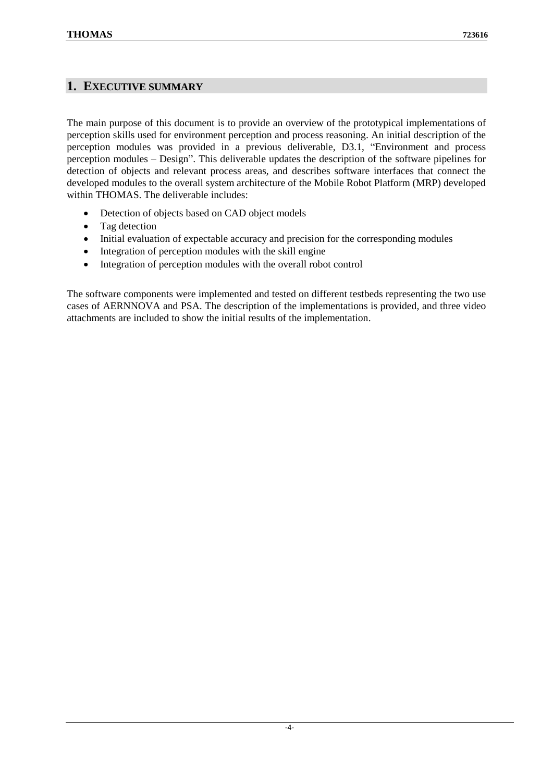#### <span id="page-3-0"></span>**1. EXECUTIVE SUMMARY**

The main purpose of this document is to provide an overview of the prototypical implementations of perception skills used for environment perception and process reasoning. An initial description of the perception modules was provided in a previous deliverable, D3.1, "Environment and process perception modules – Design". This deliverable updates the description of the software pipelines for detection of objects and relevant process areas, and describes software interfaces that connect the developed modules to the overall system architecture of the Mobile Robot Platform (MRP) developed within THOMAS. The deliverable includes:

- Detection of objects based on CAD object models
- Tag detection
- Initial evaluation of expectable accuracy and precision for the corresponding modules
- Integration of perception modules with the skill engine
- Integration of perception modules with the overall robot control

The software components were implemented and tested on different testbeds representing the two use cases of AERNNOVA and PSA. The description of the implementations is provided, and three video attachments are included to show the initial results of the implementation.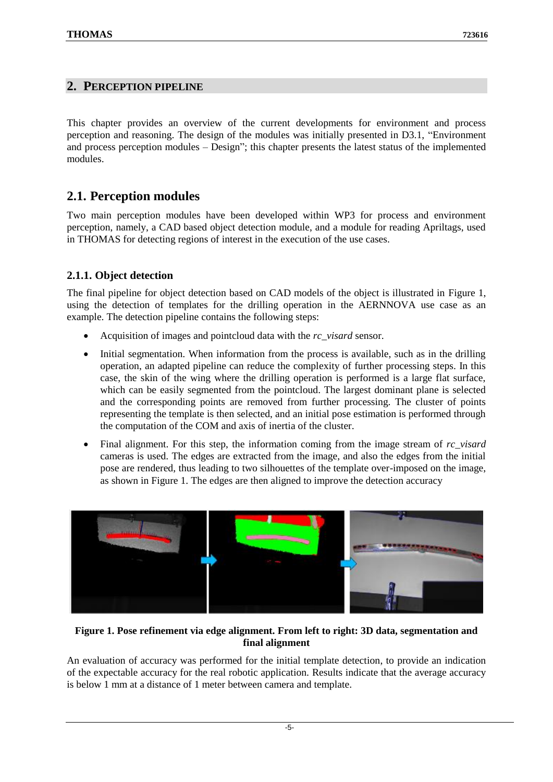#### <span id="page-4-0"></span>**2. PERCEPTION PIPELINE**

This chapter provides an overview of the current developments for environment and process perception and reasoning. The design of the modules was initially presented in D3.1, "Environment and process perception modules – Design"; this chapter presents the latest status of the implemented modules.

## <span id="page-4-1"></span>**2.1. Perception modules**

Two main perception modules have been developed within WP3 for process and environment perception, namely, a CAD based object detection module, and a module for reading Apriltags, used in THOMAS for detecting regions of interest in the execution of the use cases.

#### <span id="page-4-2"></span>**2.1.1. Object detection**

The final pipeline for object detection based on CAD models of the object is illustrated in [Figure 1,](#page-4-3) using the detection of templates for the drilling operation in the AERNNOVA use case as an example. The detection pipeline contains the following steps:

- Acquisition of images and pointcloud data with the *rc\_visard* sensor.
- Initial segmentation. When information from the process is available, such as in the drilling operation, an adapted pipeline can reduce the complexity of further processing steps. In this case, the skin of the wing where the drilling operation is performed is a large flat surface, which can be easily segmented from the pointcloud. The largest dominant plane is selected and the corresponding points are removed from further processing. The cluster of points representing the template is then selected, and an initial pose estimation is performed through the computation of the COM and axis of inertia of the cluster.
- Final alignment. For this step, the information coming from the image stream of *rc* visard cameras is used. The edges are extracted from the image, and also the edges from the initial pose are rendered, thus leading to two silhouettes of the template over-imposed on the image, as shown in [Figure 1.](#page-4-3) The edges are then aligned to improve the detection accuracy



#### <span id="page-4-3"></span>**Figure 1. Pose refinement via edge alignment. From left to right: 3D data, segmentation and final alignment**

An evaluation of accuracy was performed for the initial template detection, to provide an indication of the expectable accuracy for the real robotic application. Results indicate that the average accuracy is below 1 mm at a distance of 1 meter between camera and template.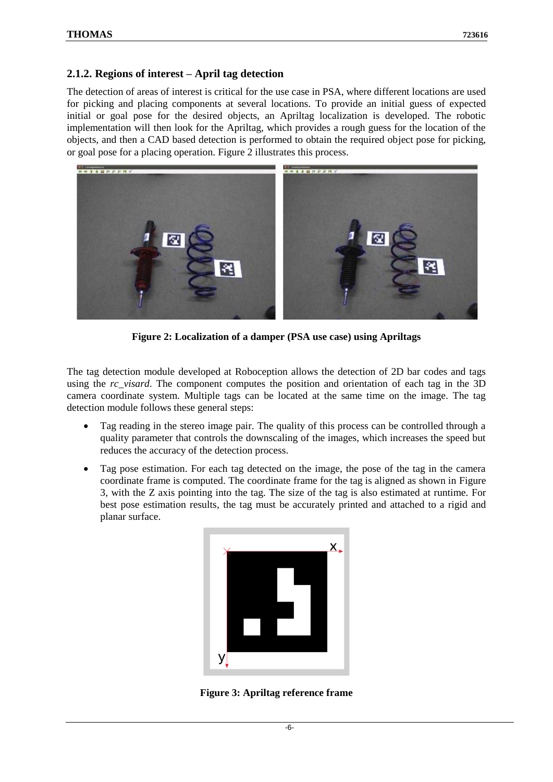#### <span id="page-5-0"></span>**2.1.2. Regions of interest – April tag detection**

The detection of areas of interest is critical for the use case in PSA, where different locations are used for picking and placing components at several locations. To provide an initial guess of expected initial or goal pose for the desired objects, an Apriltag localization is developed. The robotic implementation will then look for the Apriltag, which provides a rough guess for the location of the objects, and then a CAD based detection is performed to obtain the required object pose for picking, or goal pose for a placing operation. [Figure 2](#page-5-1) illustrates this process.



**Figure 2: Localization of a damper (PSA use case) using Apriltags**

<span id="page-5-1"></span>The tag detection module developed at Roboception allows the detection of 2D bar codes and tags using the *rc\_visard*. The component computes the position and orientation of each tag in the 3D camera coordinate system. Multiple tags can be located at the same time on the image. The tag detection module follows these general steps:

- Tag reading in the stereo image pair. The quality of this process can be controlled through a quality parameter that controls the downscaling of the images, which increases the speed but reduces the accuracy of the detection process.
- Tag pose estimation. For each tag detected on the image, the pose of the tag in the camera coordinate frame is computed. The coordinate frame for the tag is aligned as shown in [Figure](#page-5-2)  [3,](#page-5-2) with the Z axis pointing into the tag. The size of the tag is also estimated at runtime. For best pose estimation results, the tag must be accurately printed and attached to a rigid and planar surface.

<span id="page-5-2"></span>![](_page_5_Picture_9.jpeg)

**Figure 3: Apriltag reference frame**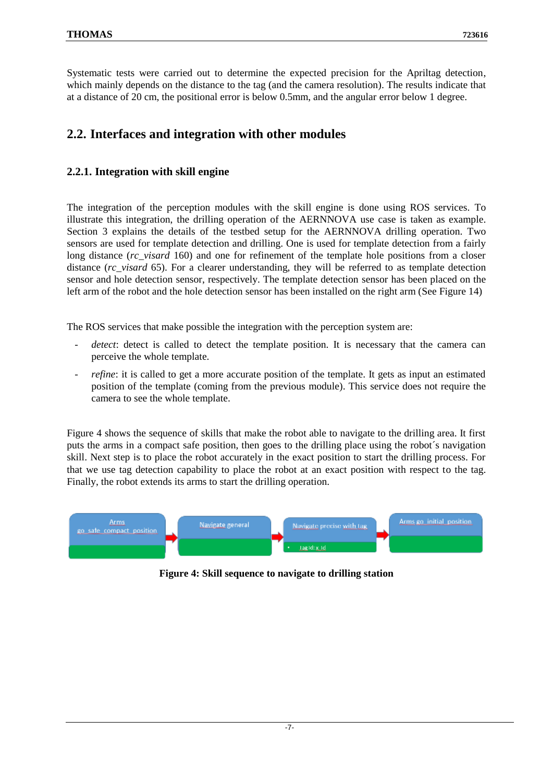Systematic tests were carried out to determine the expected precision for the Apriltag detection, which mainly depends on the distance to the tag (and the camera resolution). The results indicate that at a distance of 20 cm, the positional error is below 0.5mm, and the angular error below 1 degree.

## <span id="page-6-0"></span>**2.2. Interfaces and integration with other modules**

#### <span id="page-6-1"></span>**2.2.1. Integration with skill engine**

The integration of the perception modules with the skill engine is done using ROS services. To illustrate this integration, the drilling operation of the AERNNOVA use case is taken as example. Section 3 explains the details of the testbed setup for the AERNNOVA drilling operation. Two sensors are used for template detection and drilling. One is used for template detection from a fairly long distance (*rc* visard 160) and one for refinement of the template hole positions from a closer distance (*rc\_visard* 65). For a clearer understanding, they will be referred to as template detection sensor and hole detection sensor, respectively. The template detection sensor has been placed on the left arm of the robot and the hole detection sensor has been installed on the right arm (See [Figure 14\)](#page-12-2)

The ROS services that make possible the integration with the perception system are:

- detect: detect is called to detect the template position. It is necessary that the camera can perceive the whole template.
- *refine*: it is called to get a more accurate position of the template. It gets as input an estimated position of the template (coming from the previous module). This service does not require the camera to see the whole template.

[Figure 4](#page-6-2) shows the sequence of skills that make the robot able to navigate to the drilling area. It first puts the arms in a compact safe position, then goes to the drilling place using the robot´s navigation skill. Next step is to place the robot accurately in the exact position to start the drilling process. For that we use tag detection capability to place the robot at an exact position with respect to the tag. Finally, the robot extends its arms to start the drilling operation.

<span id="page-6-2"></span>![](_page_6_Figure_10.jpeg)

**Figure 4: Skill sequence to navigate to drilling station**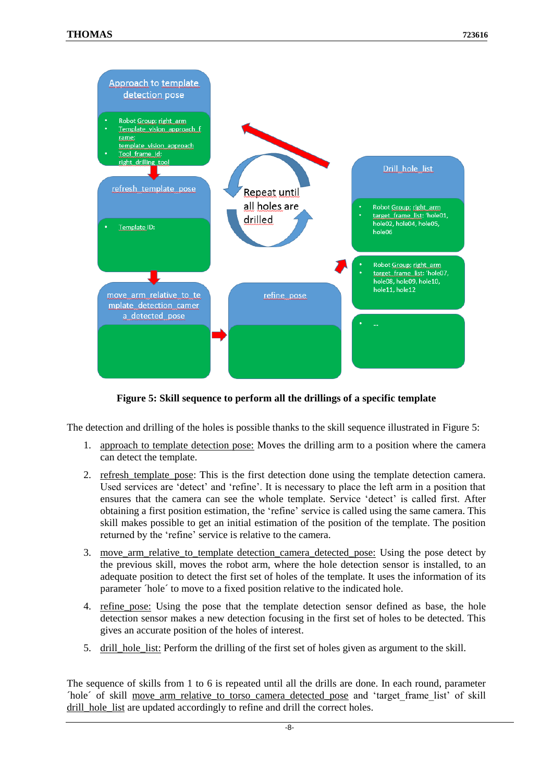![](_page_7_Figure_2.jpeg)

**Figure 5: Skill sequence to perform all the drillings of a specific template**

<span id="page-7-0"></span>The detection and drilling of the holes is possible thanks to the skill sequence illustrated in [Figure 5:](#page-7-0)

- 1. approach to template detection pose: Moves the drilling arm to a position where the camera can detect the template.
- 2. refresh template pose: This is the first detection done using the template detection camera. Used services are 'detect' and 'refine'. It is necessary to place the left arm in a position that ensures that the camera can see the whole template. Service 'detect' is called first. After obtaining a first position estimation, the 'refine' service is called using the same camera. This skill makes possible to get an initial estimation of the position of the template. The position returned by the 'refine' service is relative to the camera.
- 3. move\_arm\_relative\_to\_template detection\_camera\_detected\_pose: Using the pose detect by the previous skill, moves the robot arm, where the hole detection sensor is installed, to an adequate position to detect the first set of holes of the template. It uses the information of its parameter ´hole´ to move to a fixed position relative to the indicated hole.
- 4. refine pose: Using the pose that the template detection sensor defined as base, the hole detection sensor makes a new detection focusing in the first set of holes to be detected. This gives an accurate position of the holes of interest.
- 5. drill\_hole\_list: Perform the drilling of the first set of holes given as argument to the skill.

The sequence of skills from 1 to 6 is repeated until all the drills are done. In each round, parameter ´hole´ of skill move\_arm\_relative\_to\_torso\_camera\_detected\_pose and 'target\_frame\_list' of skill drill\_hole\_list are updated accordingly to refine and drill the correct holes.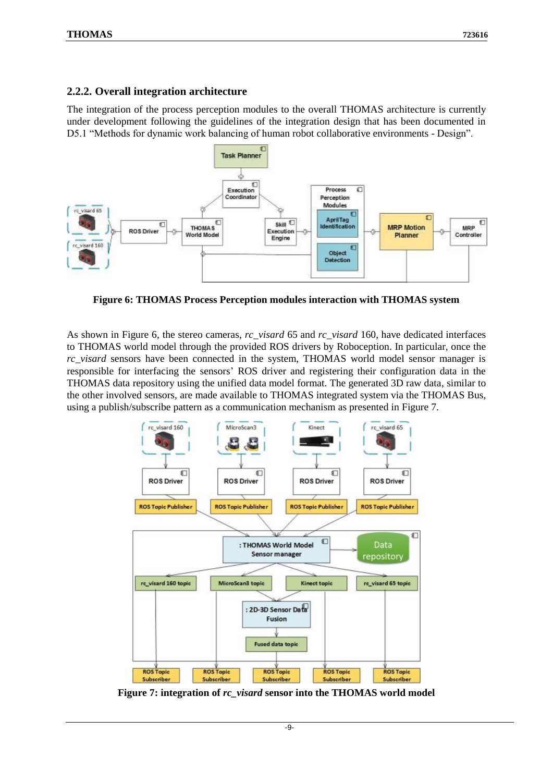#### <span id="page-8-0"></span>**2.2.2. Overall integration architecture**

The integration of the process perception modules to the overall THOMAS architecture is currently under development following the guidelines of the integration design that has been documented in D5.1 "Methods for dynamic work balancing of human robot collaborative environments - Design".

![](_page_8_Figure_4.jpeg)

<span id="page-8-1"></span>**Figure 6: THOMAS Process Perception modules interaction with THOMAS system**

As shown in [Figure 6,](#page-8-1) the stereo cameras, *rc\_visard* 65 and *rc\_visard* 160, have dedicated interfaces to THOMAS world model through the provided ROS drivers by Roboception. In particular, once the *rc\_visard* sensors have been connected in the system, THOMAS world model sensor manager is responsible for interfacing the sensors' ROS driver and registering their configuration data in the THOMAS data repository using the unified data model format. The generated 3D raw data, similar to the other involved sensors, are made available to THOMAS integrated system via the THOMAS Bus, using a publish/subscribe pattern as a communication mechanism as presented in [Figure 7.](#page-8-2)

![](_page_8_Figure_7.jpeg)

<span id="page-8-2"></span>**Figure 7: integration of** *rc\_visard* **sensor into the THOMAS world model**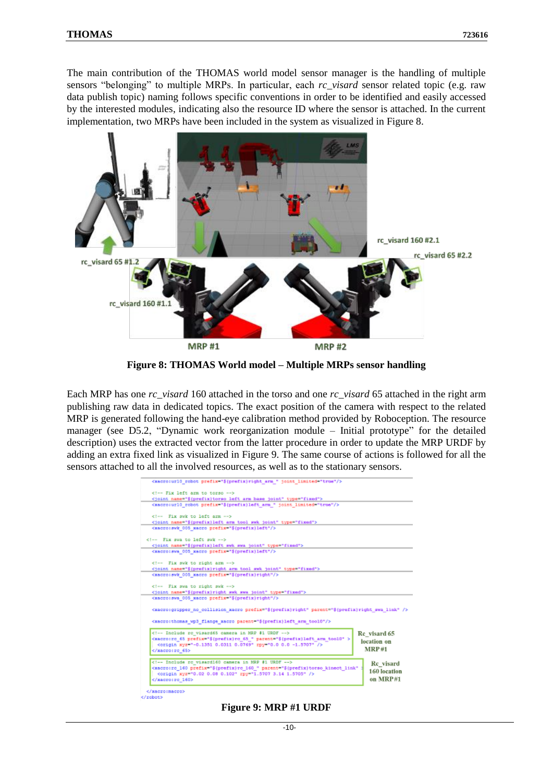The main contribution of the THOMAS world model sensor manager is the handling of multiple sensors "belonging" to multiple MRPs. In particular, each *rc\_visard* sensor related topic (e.g. raw data publish topic) naming follows specific conventions in order to be identified and easily accessed by the interested modules, indicating also the resource ID where the sensor is attached. In the current implementation, two MRPs have been included in the system as visualized in [Figure 8.](#page-9-0)

![](_page_9_Picture_3.jpeg)

**Figure 8: THOMAS World model – Multiple MRPs sensor handling**

<span id="page-9-0"></span>Each MRP has one *rc\_visard* 160 attached in the torso and one *rc\_visard* 65 attached in the right arm publishing raw data in dedicated topics. The exact position of the camera with respect to the related MRP is generated following the hand-eye calibration method provided by Roboception. The resource manager (see D5.2, "Dynamic work reorganization module – Initial prototype" for the detailed description) uses the extracted vector from the latter procedure in order to update the MRP URDF by adding an extra fixed link as visualized in [Figure 9.](#page-9-1) The same course of actions is followed for all the sensors attached to all the involved resources, as well as to the stationary sensors.

| <xacro:ur10_robot_prefix="\${prefix}right_arm "="" joint_limited="true"></xacro:ur10_robot_prefix="\${prefix}right_arm>                                                                     |              |
|---------------------------------------------------------------------------------------------------------------------------------------------------------------------------------------------|--------------|
| Fix left arm to torso                                                                                                                                                                       |              |
| <joint name="\$(prefix)torso left arm hase joint" type="fixed"></joint>                                                                                                                     |              |
| <xacro:url0_robot joint="" limited="true" prefix="\${prefix}left arm "></xacro:url0_robot>                                                                                                  |              |
| Fix swk to left arm                                                                                                                                                                         |              |
| <joint name="\$(prefix)left arm tool swk joint" type="fixed"></joint>                                                                                                                       |              |
| <xacro:swk 005="" prefix="\${prefix}left" xacro=""></xacro:swk>                                                                                                                             |              |
| Fix swa to left swk                                                                                                                                                                         |              |
| <joint name="\${prefix}left swk swa joint" type="fixed"></joint>                                                                                                                            |              |
| <xacro:swa 005="" prefix="\${prefix}left" xacro=""></xacro:swa>                                                                                                                             |              |
|                                                                                                                                                                                             |              |
| Fix swk to right arm                                                                                                                                                                        |              |
| <joint name="\${prefix}right arm tool swk joint" type="fixed"></joint>                                                                                                                      |              |
| <xacro:swk 005="" prefix="\${prefix}right" xacro=""></xacro:swk>                                                                                                                            |              |
| Fix swa to right swk                                                                                                                                                                        |              |
| <joint name="\${prefix}right swk swa joint" type="fixed"></joint>                                                                                                                           |              |
| <xacro:swa_005_xacro_prefix="\${prefix}right"></xacro:swa_005_xacro_prefix="\${prefix}right">                                                                                               |              |
|                                                                                                                                                                                             |              |
| <kacro:gripper_no_collision_xacro_prefix="\${prefix}right"_parent="\${prefix}right_swa_link"></kacro:gripper_no_collision_xacro_prefix="\${prefix}right"_parent="\${prefix}right_swa_link"> |              |
| <xacro:thomas_wp3_flange_xacro_parent="\${prefix}left_arm_tool0"></xacro:thomas_wp3_flange_xacro_parent="\${prefix}left_arm_tool0">                                                         |              |
| Include rc visard65 camera in MRP #1 URDF                                                                                                                                                   | Re visard 65 |
| <xacro:rc_65 parent="\${prefix}left_arm_too10" prefix="\${prefix}rc_65 "></xacro:rc_65>                                                                                                     |              |
|                                                                                                                                                                                             | location on  |
|                                                                                                                                                                                             | MRP#1        |
|                                                                                                                                                                                             |              |
| Include rc visard160 camera in MRP #1 URDF                                                                                                                                                  | Re visard    |
| <xacro:rc 160="" <="" parent="\${prefix}torso kinect link" prefix="\${prefix}rc 160 " td=""><td></td></xacro:rc>                                                                            |              |
|                                                                                                                                                                                             | 160 location |
|                                                                                                                                                                                             | on MRP#1     |
|                                                                                                                                                                                             |              |
|                                                                                                                                                                                             |              |
|                                                                                                                                                                                             |              |

<span id="page-9-1"></span>**Figure 9: MRP #1 URDF**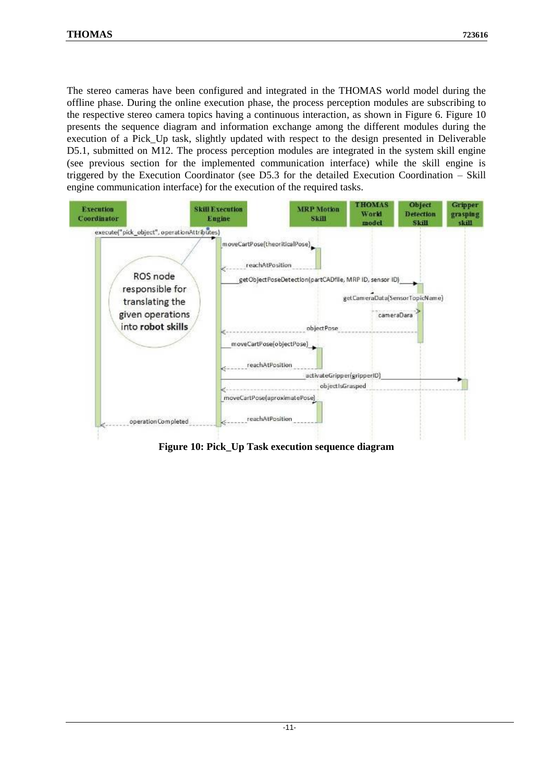The stereo cameras have been configured and integrated in the THOMAS world model during the offline phase. During the online execution phase, the process perception modules are subscribing to the respective stereo camera topics having a continuous interaction, as shown in [Figure 6.](#page-8-1) [Figure](#page-10-0) 10 presents the sequence diagram and information exchange among the different modules during the execution of a Pick Up task, slightly updated with respect to the design presented in Deliverable D5.1, submitted on M12. The process perception modules are integrated in the system skill engine (see previous section for the implemented communication interface) while the skill engine is triggered by the Execution Coordinator (see D5.3 for the detailed Execution Coordination – Skill engine communication interface) for the execution of the required tasks.

![](_page_10_Figure_3.jpeg)

<span id="page-10-0"></span>**Figure 10: Pick\_Up Task execution sequence diagram**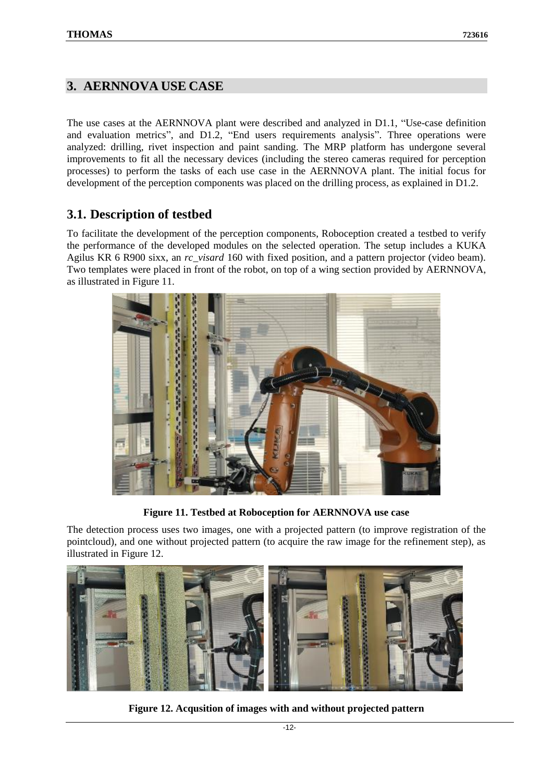### <span id="page-11-0"></span>**3. AERNNOVA USE CASE**

The use cases at the AERNNOVA plant were described and analyzed in D1.1, "Use-case definition and evaluation metrics", and D1.2, "End users requirements analysis". Three operations were analyzed: drilling, rivet inspection and paint sanding. The MRP platform has undergone several improvements to fit all the necessary devices (including the stereo cameras required for perception processes) to perform the tasks of each use case in the AERNNOVA plant. The initial focus for development of the perception components was placed on the drilling process, as explained in D1.2.

## <span id="page-11-1"></span>**3.1. Description of testbed**

To facilitate the development of the perception components, Roboception created a testbed to verify the performance of the developed modules on the selected operation. The setup includes a KUKA Agilus KR 6 R900 sixx, an *rc\_visard* 160 with fixed position, and a pattern projector (video beam). Two templates were placed in front of the robot, on top of a wing section provided by AERNNOVA, as illustrated in [Figure 11.](#page-11-2)

![](_page_11_Picture_6.jpeg)

**Figure 11. Testbed at Roboception for AERNNOVA use case**

<span id="page-11-2"></span>The detection process uses two images, one with a projected pattern (to improve registration of the pointcloud), and one without projected pattern (to acquire the raw image for the refinement step), as illustrated in [Figure 12.](#page-11-3)

<span id="page-11-3"></span>![](_page_11_Picture_9.jpeg)

**Figure 12. Acqusition of images with and without projected pattern**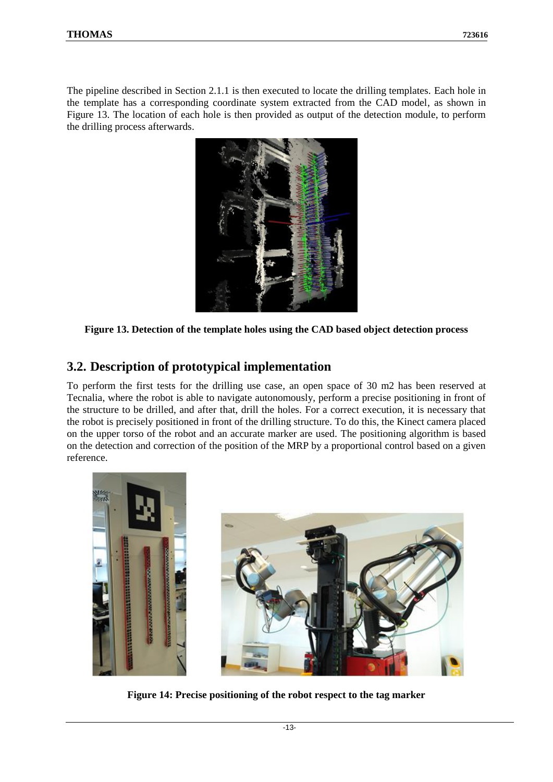The pipeline described in Section 2.1.1 is then executed to locate the drilling templates. Each hole in the template has a corresponding coordinate system extracted from the CAD model, as shown in [Figure 13.](#page-12-1) The location of each hole is then provided as output of the detection module, to perform the drilling process afterwards.

![](_page_12_Figure_3.jpeg)

<span id="page-12-1"></span>**Figure 13. Detection of the template holes using the CAD based object detection process**

## <span id="page-12-0"></span>**3.2. Description of prototypical implementation**

To perform the first tests for the drilling use case, an open space of 30 m2 has been reserved at Tecnalia, where the robot is able to navigate autonomously, perform a precise positioning in front of the structure to be drilled, and after that, drill the holes. For a correct execution, it is necessary that the robot is precisely positioned in front of the drilling structure. To do this, the Kinect camera placed on the upper torso of the robot and an accurate marker are used. The positioning algorithm is based on the detection and correction of the position of the MRP by a proportional control based on a given reference.

<span id="page-12-2"></span>![](_page_12_Picture_7.jpeg)

**Figure 14: Precise positioning of the robot respect to the tag marker**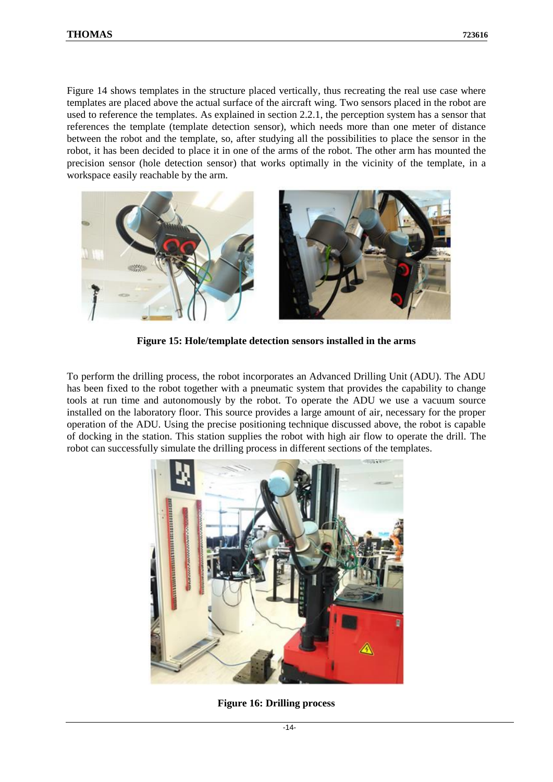[Figure 14](#page-12-2) shows templates in the structure placed vertically, thus recreating the real use case where templates are placed above the actual surface of the aircraft wing. Two sensors placed in the robot are used to reference the templates. As explained in section 2.2.1, the perception system has a sensor that references the template (template detection sensor), which needs more than one meter of distance between the robot and the template, so, after studying all the possibilities to place the sensor in the robot, it has been decided to place it in one of the arms of the robot. The other arm has mounted the precision sensor (hole detection sensor) that works optimally in the vicinity of the template, in a workspace easily reachable by the arm.

![](_page_13_Picture_3.jpeg)

**Figure 15: Hole/template detection sensors installed in the arms**

<span id="page-13-0"></span>To perform the drilling process, the robot incorporates an Advanced Drilling Unit (ADU). The ADU has been fixed to the robot together with a pneumatic system that provides the capability to change tools at run time and autonomously by the robot. To operate the ADU we use a vacuum source installed on the laboratory floor. This source provides a large amount of air, necessary for the proper operation of the ADU. Using the precise positioning technique discussed above, the robot is capable of docking in the station. This station supplies the robot with high air flow to operate the drill. The robot can successfully simulate the drilling process in different sections of the templates.

<span id="page-13-1"></span>![](_page_13_Picture_6.jpeg)

**Figure 16: Drilling process**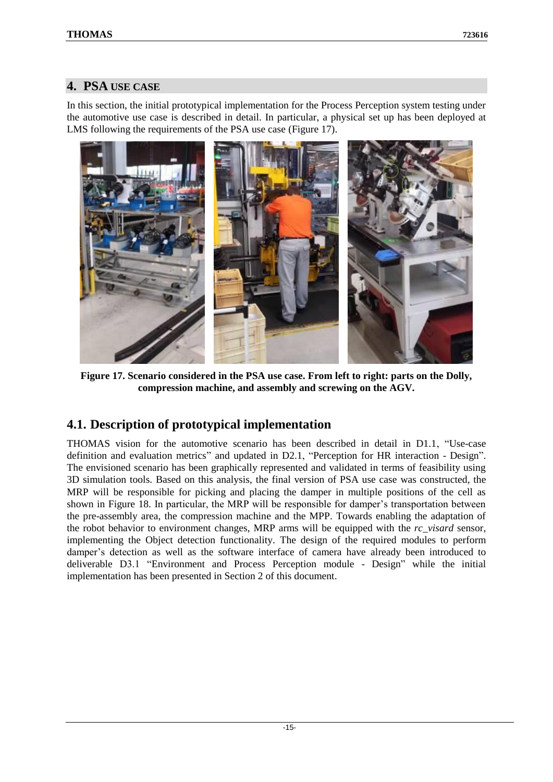## <span id="page-14-0"></span>**4. PSA USE CASE**

In this section, the initial prototypical implementation for the Process Perception system testing under the automotive use case is described in detail. In particular, a physical set up has been deployed at LMS following the requirements of the PSA use case [\(Figure 17\)](#page-14-2).

![](_page_14_Picture_4.jpeg)

**Figure 17. Scenario considered in the PSA use case. From left to right: parts on the Dolly, compression machine, and assembly and screwing on the AGV.**

## <span id="page-14-2"></span><span id="page-14-1"></span>**4.1. Description of prototypical implementation**

THOMAS vision for the automotive scenario has been described in detail in D1.1, "Use-case definition and evaluation metrics" and updated in D2.1, "Perception for HR interaction - Design". The envisioned scenario has been graphically represented and validated in terms of feasibility using 3D simulation tools. Based on this analysis, the final version of PSA use case was constructed, the MRP will be responsible for picking and placing the damper in multiple positions of the cell as shown in [Figure 18.](#page-15-0) In particular, the MRP will be responsible for damper's transportation between the pre-assembly area, the compression machine and the MPP. Towards enabling the adaptation of the robot behavior to environment changes, MRP arms will be equipped with the *rc\_visard* sensor, implementing the Object detection functionality. The design of the required modules to perform damper's detection as well as the software interface of camera have already been introduced to deliverable D3.1 "Environment and Process Perception module - Design" while the initial implementation has been presented in Section 2 of this document.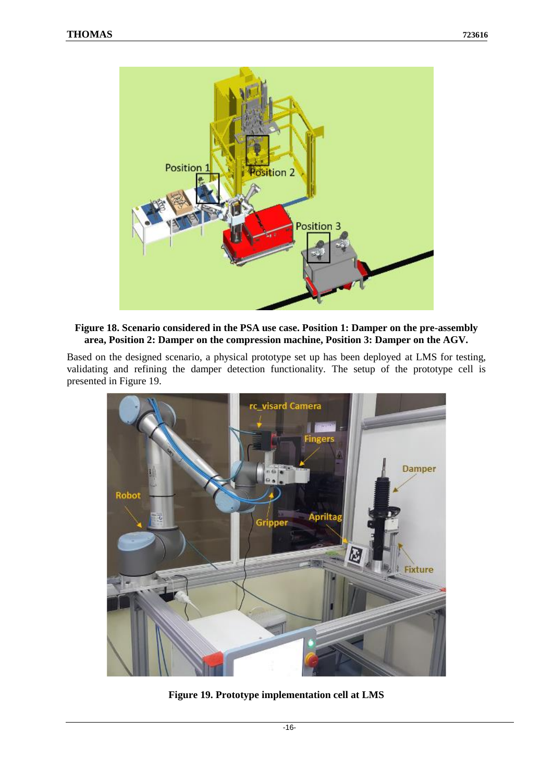![](_page_15_Picture_2.jpeg)

#### <span id="page-15-0"></span>**Figure 18. Scenario considered in the PSA use case. Position 1: Damper on the pre-assembly area, Position 2: Damper on the compression machine, Position 3: Damper on the AGV.**

Based on the designed scenario, a physical prototype set up has been deployed at LMS for testing, validating and refining the damper detection functionality. The setup of the prototype cell is presented in [Figure 19.](#page-15-1)

<span id="page-15-1"></span>![](_page_15_Picture_5.jpeg)

**Figure 19. Prototype implementation cell at LMS**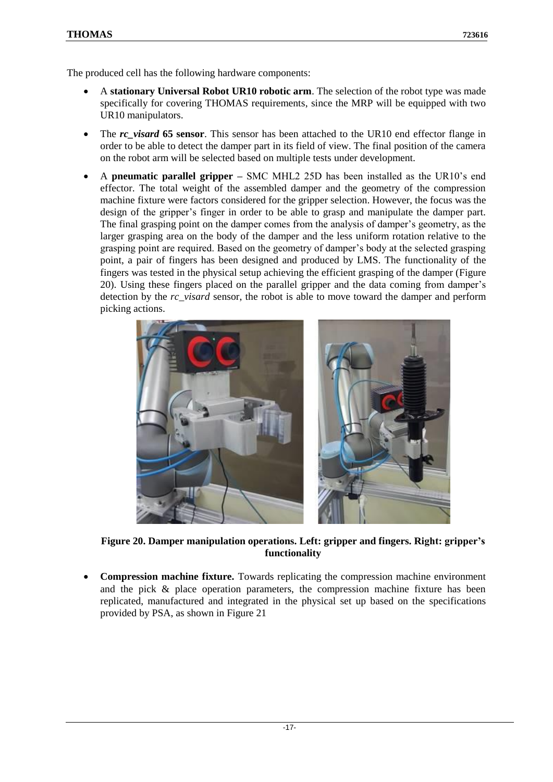The produced cell has the following hardware components:

- A **stationary Universal Robot UR10 robotic arm**. The selection of the robot type was made specifically for covering THOMAS requirements, since the MRP will be equipped with two UR10 manipulators.
- The *rc\_visard* **65 sensor**. This sensor has been attached to the UR10 end effector flange in order to be able to detect the damper part in its field of view. The final position of the camera on the robot arm will be selected based on multiple tests under development.
- A **pneumatic parallel gripper –** SMC MHL2 25D has been installed as the UR10's end effector. The total weight of the assembled damper and the geometry of the compression machine fixture were factors considered for the gripper selection. However, the focus was the design of the gripper's finger in order to be able to grasp and manipulate the damper part. The final grasping point on the damper comes from the analysis of damper's geometry, as the larger grasping area on the body of the damper and the less uniform rotation relative to the grasping point are required. Based on the geometry of damper's body at the selected grasping point, a pair of fingers has been designed and produced by LMS. The functionality of the fingers was tested in the physical setup achieving the efficient grasping of the damper [\(Figure](#page-16-0)  [20\)](#page-16-0). Using these fingers placed on the parallel gripper and the data coming from damper's detection by the *rc\_visard* sensor, the robot is able to move toward the damper and perform picking actions.

![](_page_16_Picture_6.jpeg)

**Figure 20. Damper manipulation operations. Left: gripper and fingers. Right: gripper's functionality**

<span id="page-16-0"></span>• **Compression machine fixture.** Towards replicating the compression machine environment and the pick & place operation parameters, the compression machine fixture has been replicated, manufactured and integrated in the physical set up based on the specifications provided by PSA, as shown in [Figure 21](#page-17-0)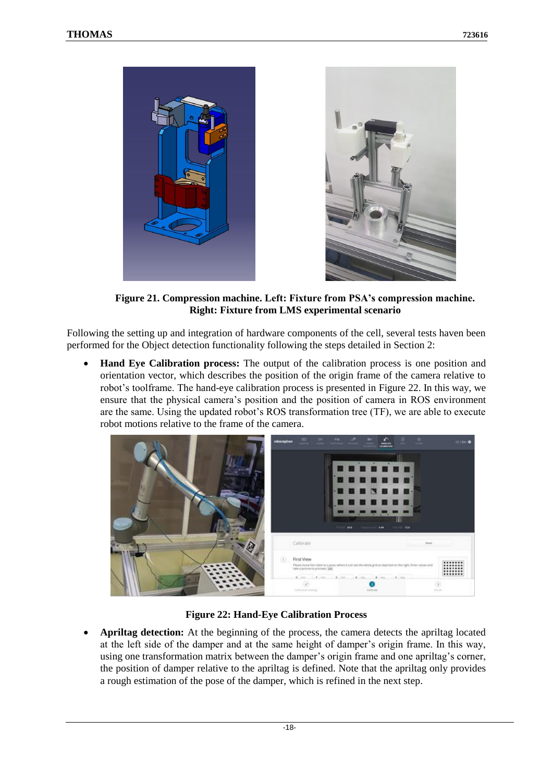![](_page_17_Picture_2.jpeg)

**Figure 21. Compression machine. Left: Fixture from PSA's compression machine. Right: Fixture from LMS experimental scenario**

<span id="page-17-0"></span>Following the setting up and integration of hardware components of the cell, several tests haven been performed for the Object detection functionality following the steps detailed in Section 2:

• **Hand Eye Calibration process:** The output of the calibration process is one position and orientation vector, which describes the position of the origin frame of the camera relative to robot's toolframe. The hand-eye calibration process is presented in [Figure 22.](#page-17-1) In this way, we ensure that the physical camera's position and the position of camera in ROS environment are the same. Using the updated robot's ROS transformation tree (TF), we are able to execute robot motions relative to the frame of the camera.

![](_page_17_Picture_6.jpeg)

**Figure 22: Hand-Eye Calibration Process**

<span id="page-17-1"></span>• **Apriltag detection:** At the beginning of the process, the camera detects the apriltag located at the left side of the damper and at the same height of damper's origin frame. In this way, using one transformation matrix between the damper's origin frame and one apriltag's corner, the position of damper relative to the apriltag is defined. Note that the apriltag only provides a rough estimation of the pose of the damper, which is refined in the next step.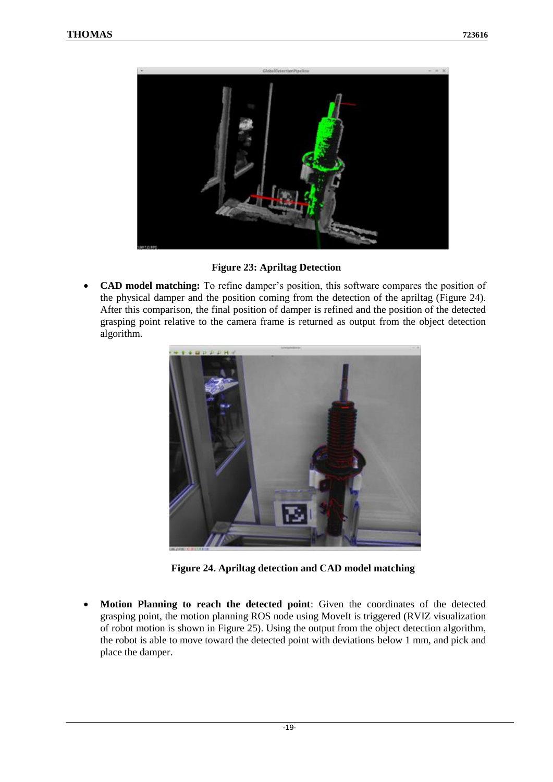![](_page_18_Picture_2.jpeg)

**Figure 23: Apriltag Detection**

<span id="page-18-0"></span>• **CAD model matching:** To refine damper's position, this software compares the position of the physical damper and the position coming from the detection of the apriltag [\(Figure 24\)](#page-18-1). After this comparison, the final position of damper is refined and the position of the detected grasping point relative to the camera frame is returned as output from the object detection algorithm.

![](_page_18_Picture_5.jpeg)

**Figure 24. Apriltag detection and CAD model matching**

<span id="page-18-1"></span>• **Motion Planning to reach the detected point**: Given the coordinates of the detected grasping point, the motion planning ROS node using MoveIt is triggered (RVIZ visualization of robot motion is shown in [Figure 25\)](#page-19-0). Using the output from the object detection algorithm, the robot is able to move toward the detected point with deviations below 1 mm, and pick and place the damper.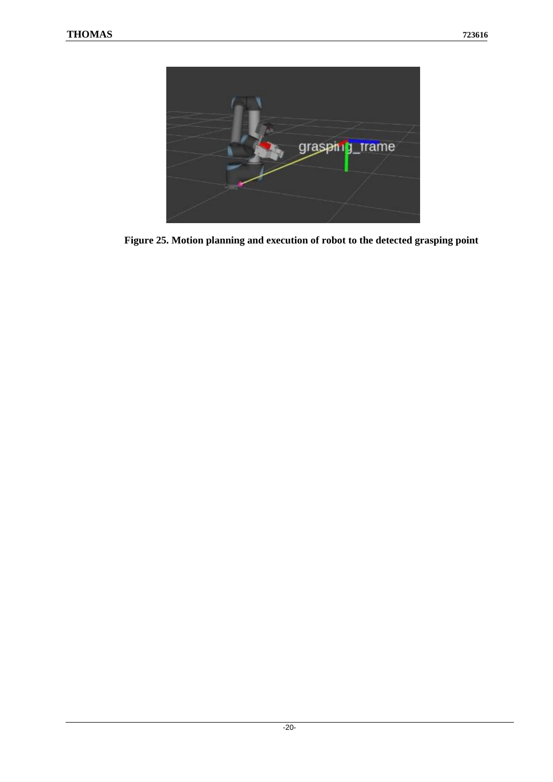<span id="page-19-0"></span>![](_page_19_Picture_2.jpeg)

**Figure 25. Motion planning and execution of robot to the detected grasping point**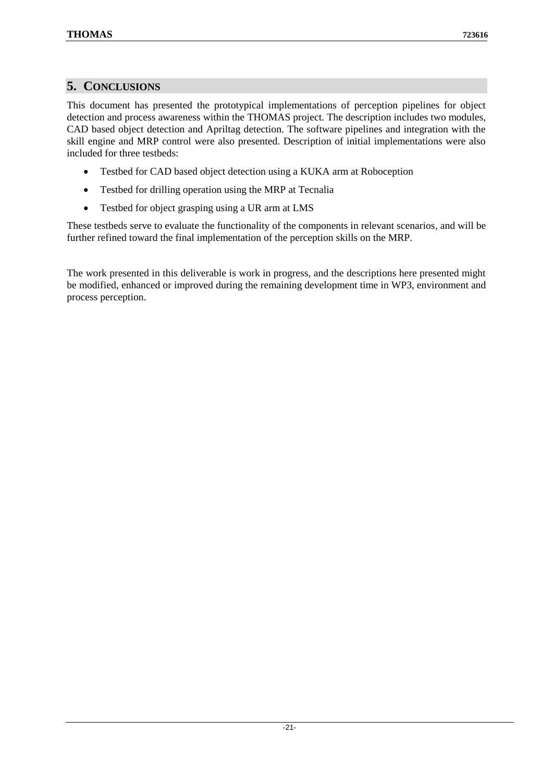### <span id="page-20-0"></span>**5. CONCLUSIONS**

This document has presented the prototypical implementations of perception pipelines for object detection and process awareness within the THOMAS project. The description includes two modules, CAD based object detection and Apriltag detection. The software pipelines and integration with the skill engine and MRP control were also presented. Description of initial implementations were also included for three testbeds:

- Testbed for CAD based object detection using a KUKA arm at Roboception
- Testbed for drilling operation using the MRP at Tecnalia
- Testbed for object grasping using a UR arm at LMS

These testbeds serve to evaluate the functionality of the components in relevant scenarios, and will be further refined toward the final implementation of the perception skills on the MRP.

The work presented in this deliverable is work in progress, and the descriptions here presented might be modified, enhanced or improved during the remaining development time in WP3, environment and process perception.